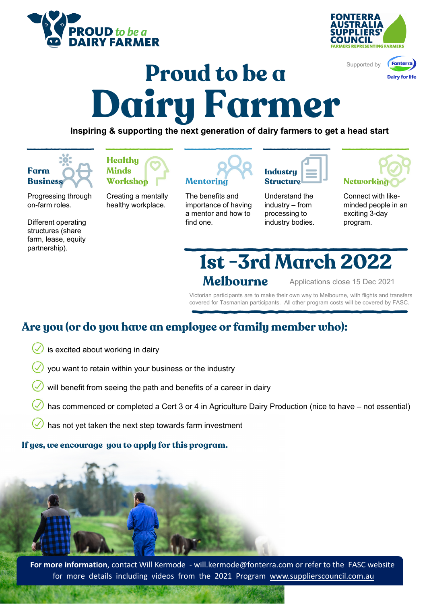





## **Proud to be a Dairy Farmer**

**Inspiring & supporting the next generation of dairy farmers to get a head start**



**Healthy Minds Workshop Mentoring**

Progressing through on-farm roles.

Different operating structures (share farm, lease, equity partnership).

Creating a mentally healthy workplace.

The benefits and importance of having a mentor and how to

find one.

**Industry Structure Networking** 

Understand the industry – from processing to industry bodies.

Connect with likeminded people in an exciting 3-day program.

**Melbourne 1st -3rd March 2022**

Applications close 15 Dec 2021

Victorian participants are to make their own way to Melbourne, with flights and transfers covered for Tasmanian participants. All other program costs will be covered by FASC.

## **Are you (or do you have an employee or family member who):**

- is excited about working in dairy
- you want to retain within your business or the industry
- will benefit from seeing the path and benefits of a career in dairy
- has commenced or completed a Cert 3 or 4 in Agriculture Dairy Production (nice to have not essential)
- has not yet taken the next step towards farm investment

## **If yes, we encourage you to apply for this program.**



**For more information**, contact Will Kermode ‐ will.kermode@fonterra.com or refer to the FASC website for more details including videos from the 2021 Program www.supplierscouncil.com.au